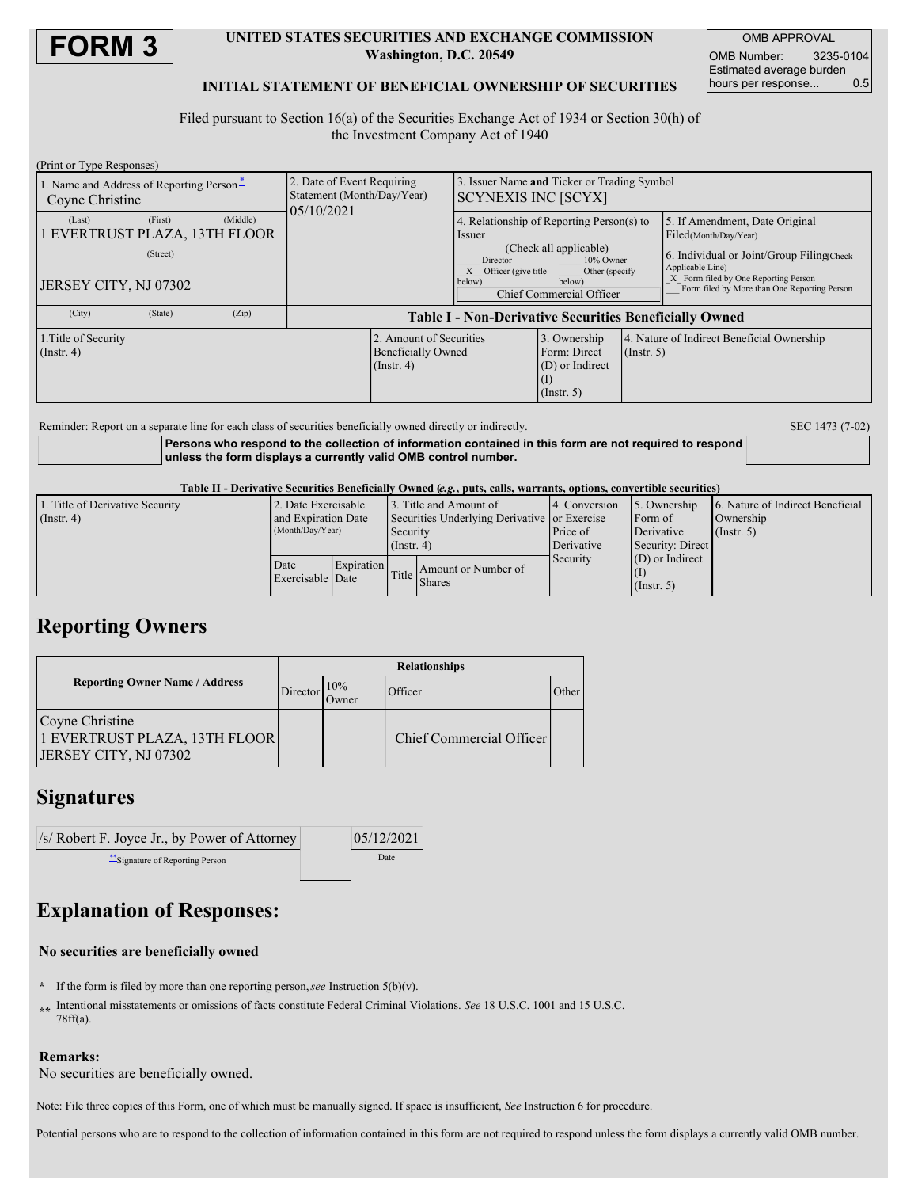

### **UNITED STATES SECURITIES AND EXCHANGE COMMISSION Washington, D.C. 20549**

OMB APPROVAL OMB Number: 3235-0104 Estimated average burden hours per response... 0.5

### **INITIAL STATEMENT OF BENEFICIAL OWNERSHIP OF SECURITIES**

Filed pursuant to Section 16(a) of the Securities Exchange Act of 1934 or Section 30(h) of the Investment Company Act of 1940

| (Print or Type Responses)                                      |                                                                          |                                                                                                                                          |                                                                       |                  |                                                                                                                                                       |  |
|----------------------------------------------------------------|--------------------------------------------------------------------------|------------------------------------------------------------------------------------------------------------------------------------------|-----------------------------------------------------------------------|------------------|-------------------------------------------------------------------------------------------------------------------------------------------------------|--|
| 1. Name and Address of Reporting Person-<br>Coyne Christine    | 2. Date of Event Requiring<br>Statement (Month/Day/Year)<br>05/10/2021   | 3. Issuer Name and Ticker or Trading Symbol<br><b>SCYNEXIS INC [SCYX]</b>                                                                |                                                                       |                  |                                                                                                                                                       |  |
| (Middle)<br>(First)<br>(Last)<br>1 EVERTRUST PLAZA, 13TH FLOOR |                                                                          | Issuer                                                                                                                                   | 4. Relationship of Reporting Person(s) to                             |                  | 5. If Amendment, Date Original<br>Filed(Month/Day/Year)                                                                                               |  |
| (Street)<br>JERSEY CITY, NJ 07302                              |                                                                          | (Check all applicable)<br>Director<br>10% Owner<br>Officer (give title<br>Other (specify<br>below)<br>below)<br>Chief Commercial Officer |                                                                       |                  | 6. Individual or Joint/Group Filing Check<br>Applicable Line)<br>X Form filed by One Reporting Person<br>Form filed by More than One Reporting Person |  |
| (City)<br>(Zip)<br>(State)                                     | <b>Table I - Non-Derivative Securities Beneficially Owned</b>            |                                                                                                                                          |                                                                       |                  |                                                                                                                                                       |  |
| 1. Title of Security<br>$($ Instr. 4 $)$                       | 2. Amount of Securities<br><b>Beneficially Owned</b><br>$($ Instr. 4 $)$ |                                                                                                                                          | 3. Ownership<br>Form: Direct<br>$(D)$ or Indirect<br>$($ Instr. 5 $)$ | $($ Instr. 5 $)$ | 4. Nature of Indirect Beneficial Ownership                                                                                                            |  |

Reminder: Report on a separate line for each class of securities beneficially owned directly or indirectly. SEC 1473 (7-02)

**Persons who respond to the collection of information contained in this form are not required to respond unless the form displays a currently valid OMB control number.**

Table II - Derivative Securities Beneficially Owned (e.g., puts, calls, warrants, options, convertible securities)

| 1. Title of Derivative Security | 2. Date Exercisable                     |            |                                              | 3. Title and Amount of              | 4. Conversion | 5. Ownership      | 6. Nature of Indirect Beneficial |
|---------------------------------|-----------------------------------------|------------|----------------------------------------------|-------------------------------------|---------------|-------------------|----------------------------------|
| $($ Instr. 4 $)$                | and Expiration Date<br>(Month/Day/Year) |            | Securities Underlying Derivative or Exercise |                                     |               | Form of           | Ownership                        |
|                                 |                                         |            | Security                                     |                                     | Price of      | Derivative        | (Insert, 5)                      |
|                                 |                                         |            | $($ Instr. 4)                                |                                     | Derivative    | Security: Direct  |                                  |
|                                 | Date<br>Exercisable Date                | Expiration |                                              | Amount or Number of<br>Title Shares | Security      | $(D)$ or Indirect |                                  |
|                                 |                                         |            |                                              |                                     |               |                   |                                  |
|                                 |                                         |            |                                              |                                     |               | $($ Instr. 5 $)$  |                                  |

### **Reporting Owners**

|                                                                           | <b>Relationships</b> |               |                          |       |  |  |
|---------------------------------------------------------------------------|----------------------|---------------|--------------------------|-------|--|--|
| <b>Reporting Owner Name / Address</b>                                     |                      | 10%<br>Owner) | Officer                  | Other |  |  |
| Coyne Christine<br>1 EVERTRUST PLAZA, 13TH FLOOR<br>JERSEY CITY, NJ 07302 |                      |               | Chief Commercial Officer |       |  |  |

## **Signatures**

| /s/ Robert F. Joyce Jr., by Power of Attorney | 05/12/2021 |
|-----------------------------------------------|------------|
| Signature of Reporting Person                 | Date       |

# **Explanation of Responses:**

#### **No securities are beneficially owned**

- **\*** If the form is filed by more than one reporting person,*see* Instruction 5(b)(v).
- **\*\*** Intentional misstatements or omissions of facts constitute Federal Criminal Violations. *See* 18 U.S.C. 1001 and 15 U.S.C. 78ff(a).

### **Remarks:**

No securities are beneficially owned.

Note: File three copies of this Form, one of which must be manually signed. If space is insufficient, *See* Instruction 6 for procedure.

Potential persons who are to respond to the collection of information contained in this form are not required to respond unless the form displays a currently valid OMB number.